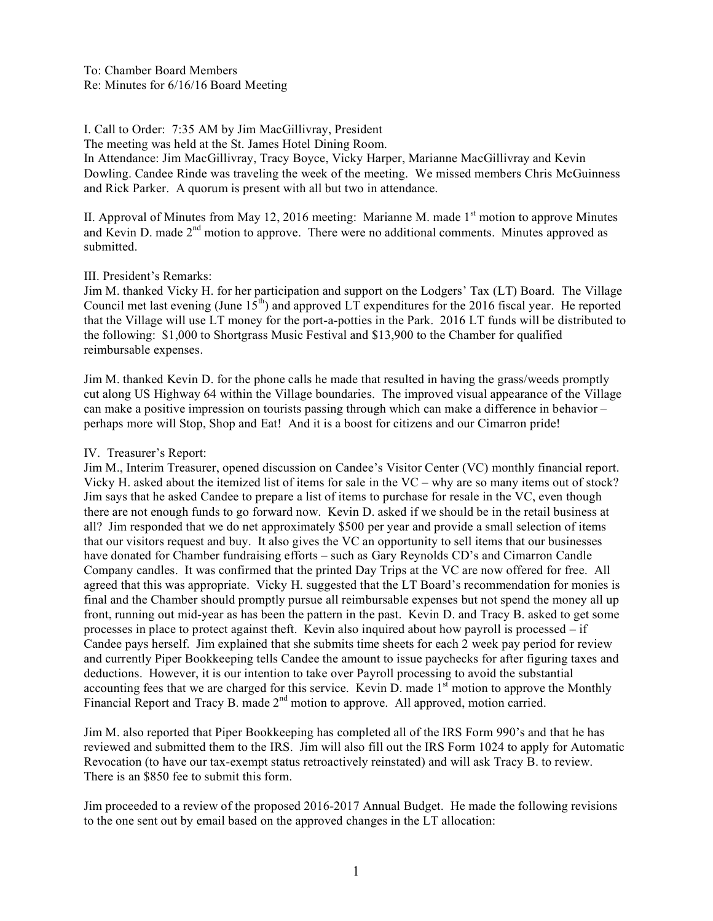# I. Call to Order: 7:35 AM by Jim MacGillivray, President

The meeting was held at the St. James Hotel Dining Room.

In Attendance: Jim MacGillivray, Tracy Boyce, Vicky Harper, Marianne MacGillivray and Kevin Dowling. Candee Rinde was traveling the week of the meeting. We missed members Chris McGuinness and Rick Parker. A quorum is present with all but two in attendance.

II. Approval of Minutes from May 12, 2016 meeting: Marianne M. made  $1<sup>st</sup>$  motion to approve Minutes and Kevin D. made 2<sup>nd</sup> motion to approve. There were no additional comments. Minutes approved as submitted.

### III. President's Remarks:

Jim M. thanked Vicky H. for her participation and support on the Lodgers' Tax (LT) Board. The Village Council met last evening (June  $15<sup>th</sup>$ ) and approved LT expenditures for the 2016 fiscal year. He reported that the Village will use LT money for the port-a-potties in the Park. 2016 LT funds will be distributed to the following: \$1,000 to Shortgrass Music Festival and \$13,900 to the Chamber for qualified reimbursable expenses.

Jim M. thanked Kevin D. for the phone calls he made that resulted in having the grass/weeds promptly cut along US Highway 64 within the Village boundaries. The improved visual appearance of the Village can make a positive impression on tourists passing through which can make a difference in behavior – perhaps more will Stop, Shop and Eat! And it is a boost for citizens and our Cimarron pride!

# IV. Treasurer's Report:

Jim M., Interim Treasurer, opened discussion on Candee's Visitor Center (VC) monthly financial report. Vicky H. asked about the itemized list of items for sale in the VC – why are so many items out of stock? Jim says that he asked Candee to prepare a list of items to purchase for resale in the VC, even though there are not enough funds to go forward now. Kevin D. asked if we should be in the retail business at all? Jim responded that we do net approximately \$500 per year and provide a small selection of items that our visitors request and buy. It also gives the VC an opportunity to sell items that our businesses have donated for Chamber fundraising efforts – such as Gary Reynolds CD's and Cimarron Candle Company candles. It was confirmed that the printed Day Trips at the VC are now offered for free. All agreed that this was appropriate. Vicky H. suggested that the LT Board's recommendation for monies is final and the Chamber should promptly pursue all reimbursable expenses but not spend the money all up front, running out mid-year as has been the pattern in the past. Kevin D. and Tracy B. asked to get some processes in place to protect against theft. Kevin also inquired about how payroll is processed – if Candee pays herself. Jim explained that she submits time sheets for each 2 week pay period for review and currently Piper Bookkeeping tells Candee the amount to issue paychecks for after figuring taxes and deductions. However, it is our intention to take over Payroll processing to avoid the substantial accounting fees that we are charged for this service. Kevin D. made  $1<sup>st</sup>$  motion to approve the Monthly Financial Report and Tracy B. made 2<sup>nd</sup> motion to approve. All approved, motion carried.

Jim M. also reported that Piper Bookkeeping has completed all of the IRS Form 990's and that he has reviewed and submitted them to the IRS. Jim will also fill out the IRS Form 1024 to apply for Automatic Revocation (to have our tax-exempt status retroactively reinstated) and will ask Tracy B. to review. There is an \$850 fee to submit this form.

Jim proceeded to a review of the proposed 2016-2017 Annual Budget. He made the following revisions to the one sent out by email based on the approved changes in the LT allocation: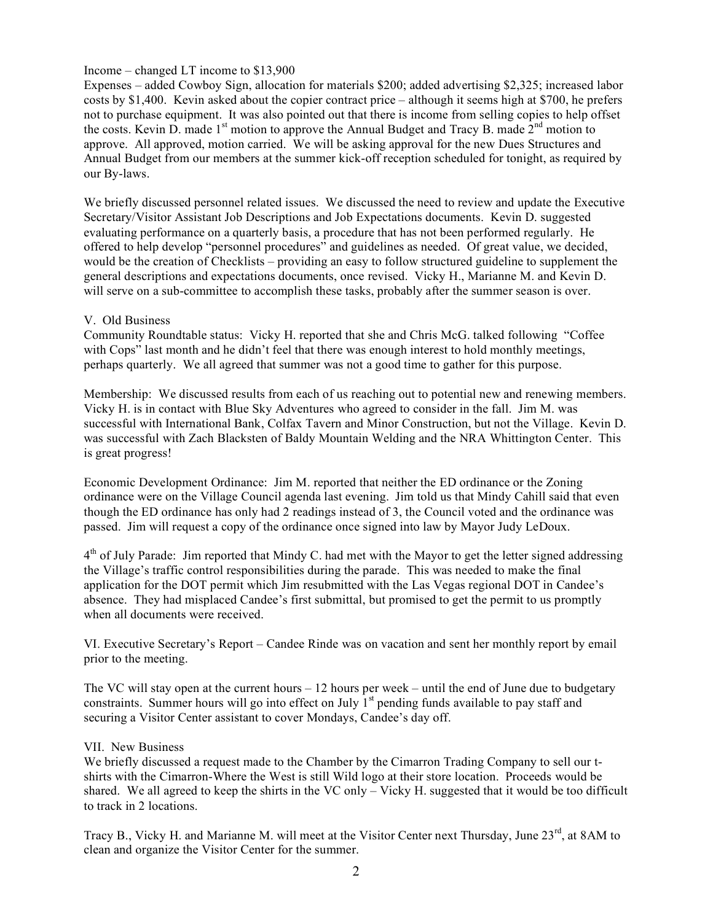### Income – changed LT income to \$13,900

Expenses – added Cowboy Sign, allocation for materials \$200; added advertising \$2,325; increased labor costs by \$1,400. Kevin asked about the copier contract price – although it seems high at \$700, he prefers not to purchase equipment. It was also pointed out that there is income from selling copies to help offset the costs. Kevin  $\overline{D}$ , made 1<sup>st</sup> motion to approve the Annual Budget and Tracy B. made  $2<sup>nd</sup>$  motion to approve. All approved, motion carried. We will be asking approval for the new Dues Structures and Annual Budget from our members at the summer kick-off reception scheduled for tonight, as required by our By-laws.

We briefly discussed personnel related issues. We discussed the need to review and update the Executive Secretary/Visitor Assistant Job Descriptions and Job Expectations documents. Kevin D. suggested evaluating performance on a quarterly basis, a procedure that has not been performed regularly. He offered to help develop "personnel procedures" and guidelines as needed. Of great value, we decided, would be the creation of Checklists – providing an easy to follow structured guideline to supplement the general descriptions and expectations documents, once revised. Vicky H., Marianne M. and Kevin D. will serve on a sub-committee to accomplish these tasks, probably after the summer season is over.

# V. Old Business

Community Roundtable status: Vicky H. reported that she and Chris McG. talked following "Coffee with Cops" last month and he didn't feel that there was enough interest to hold monthly meetings, perhaps quarterly. We all agreed that summer was not a good time to gather for this purpose.

Membership: We discussed results from each of us reaching out to potential new and renewing members. Vicky H. is in contact with Blue Sky Adventures who agreed to consider in the fall. Jim M. was successful with International Bank, Colfax Tavern and Minor Construction, but not the Village. Kevin D. was successful with Zach Blacksten of Baldy Mountain Welding and the NRA Whittington Center. This is great progress!

Economic Development Ordinance: Jim M. reported that neither the ED ordinance or the Zoning ordinance were on the Village Council agenda last evening. Jim told us that Mindy Cahill said that even though the ED ordinance has only had 2 readings instead of 3, the Council voted and the ordinance was passed. Jim will request a copy of the ordinance once signed into law by Mayor Judy LeDoux.

 $4<sup>th</sup>$  of July Parade: Jim reported that Mindy C. had met with the Mayor to get the letter signed addressing the Village's traffic control responsibilities during the parade. This was needed to make the final application for the DOT permit which Jim resubmitted with the Las Vegas regional DOT in Candee's absence. They had misplaced Candee's first submittal, but promised to get the permit to us promptly when all documents were received.

VI. Executive Secretary's Report – Candee Rinde was on vacation and sent her monthly report by email prior to the meeting.

The VC will stay open at the current hours  $-12$  hours per week – until the end of June due to budgetary constraints. Summer hours will go into effect on July  $1<sup>st</sup>$  pending funds available to pay staff and securing a Visitor Center assistant to cover Mondays, Candee's day off.

### VII. New Business

We briefly discussed a request made to the Chamber by the Cimarron Trading Company to sell our tshirts with the Cimarron-Where the West is still Wild logo at their store location. Proceeds would be shared. We all agreed to keep the shirts in the VC only – Vicky H. suggested that it would be too difficult to track in 2 locations.

Tracy B., Vicky H. and Marianne M. will meet at the Visitor Center next Thursday, June 23<sup>rd</sup>, at 8AM to clean and organize the Visitor Center for the summer.